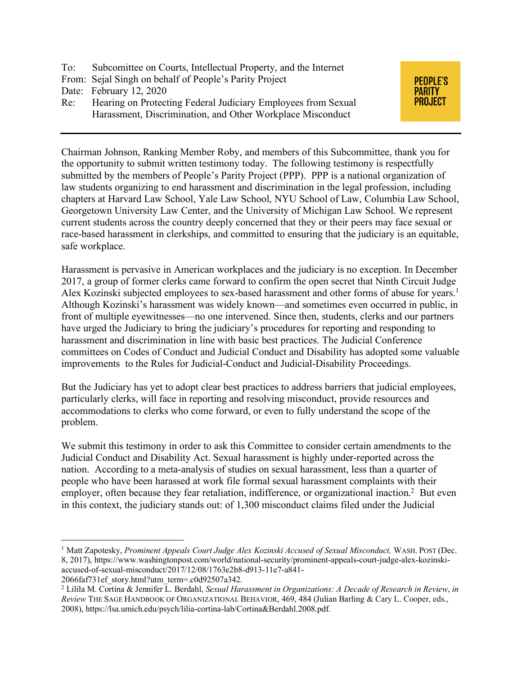- To: Subcomittee on Courts, Intellectual Property, and the Internet
- From: Sejal Singh on behalf of People's Parity Project
- Date: February 12, 2020
- Re: Hearing on Protecting Federal Judiciary Employees from Sexual Harassment, Discrimination, and Other Workplace Misconduct



Chairman Johnson, Ranking Member Roby, and members of this Subcommittee, thank you for the opportunity to submit written testimony today. The following testimony is respectfully submitted by the members of People's Parity Project (PPP). PPP is a national organization of law students organizing to end harassment and discrimination in the legal profession, including chapters at Harvard Law School, Yale Law School, NYU School of Law, Columbia Law School, Georgetown University Law Center, and the University of Michigan Law School. We represent current students across the country deeply concerned that they or their peers may face sexual or race-based harassment in clerkships, and committed to ensuring that the judiciary is an equitable, safe workplace.

Harassment is pervasive in American workplaces and the judiciary is no exception. In December 2017, a group of former clerks came forward to confirm the open secret that Ninth Circuit Judge Alex Kozinski subjected employees to sex-based harassment and other forms of abuse for years.<sup>1</sup> Although Kozinski's harassment was widely known—and sometimes even occurred in public, in front of multiple eyewitnesses—no one intervened. Since then, students, clerks and our partners have urged the Judiciary to bring the judiciary's procedures for reporting and responding to harassment and discrimination in line with basic best practices. The Judicial Conference committees on Codes of Conduct and Judicial Conduct and Disability has adopted some valuable improvements to the Rules for Judicial-Conduct and Judicial-Disability Proceedings.

But the Judiciary has yet to adopt clear best practices to address barriers that judicial employees, particularly clerks, will face in reporting and resolving misconduct, provide resources and accommodations to clerks who come forward, or even to fully understand the scope of the problem.

We submit this testimony in order to ask this Committee to consider certain amendments to the Judicial Conduct and Disability Act. Sexual harassment is highly under-reported across the nation. According to a meta-analysis of studies on sexual harassment, less than a quarter of people who have been harassed at work file formal sexual harassment complaints with their employer, often because they fear retaliation, indifference, or organizational inaction.<sup>2</sup> But even in this context, the judiciary stands out: of 1,300 misconduct claims filed under the Judicial

 $\overline{a}$ 

<sup>&</sup>lt;sup>1</sup> Matt Zapotesky, *Prominent Appeals Court Judge Alex Kozinski Accused of Sexual Misconduct*, WASH. POST (Dec. 8, 2017), https://www.washingtonpost.com/world/national-security/prominent-appeals-court-judge-alex-kozinskiaccused-of-sexual-misconduct/2017/12/08/1763e2b8-d913-11e7-a841-

<sup>2066</sup>faf731ef\_story.html?utm\_term=.c0d92507a342. 2 Lilila M. Cortina & Jennifer L. Berdahl, *Sexual Harassment in Organizations: A Decade of Research in Review*, *in Review* THE SAGE HANDBOOK OF ORGANIZATIONAL BEHAVIOR, 469, 484 (Julian Barling & Cary L. Cooper, eds., 2008), https://lsa.umich.edu/psych/lilia-cortina-lab/Cortina&Berdahl.2008.pdf.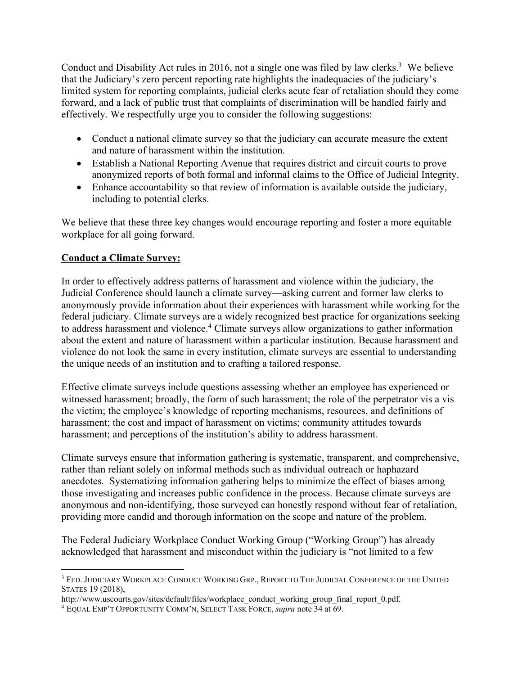Conduct and Disability Act rules in 2016, not a single one was filed by law clerks.<sup>3</sup> We believe that the Judiciary's zero percent reporting rate highlights the inadequacies of the judiciary's limited system for reporting complaints, judicial clerks acute fear of retaliation should they come forward, and a lack of public trust that complaints of discrimination will be handled fairly and effectively. We respectfully urge you to consider the following suggestions:

- Conduct a national climate survey so that the judiciary can accurate measure the extent and nature of harassment within the institution.
- Establish a National Reporting Avenue that requires district and circuit courts to prove anonymized reports of both formal and informal claims to the Office of Judicial Integrity.
- Enhance accountability so that review of information is available outside the judiciary, including to potential clerks.

We believe that these three key changes would encourage reporting and foster a more equitable workplace for all going forward.

## **Conduct a Climate Survey:**

 $\overline{a}$ 

In order to effectively address patterns of harassment and violence within the judiciary, the Judicial Conference should launch a climate survey—asking current and former law clerks to anonymously provide information about their experiences with harassment while working for the federal judiciary. Climate surveys are a widely recognized best practice for organizations seeking to address harassment and violence.4 Climate surveys allow organizations to gather information about the extent and nature of harassment within a particular institution. Because harassment and violence do not look the same in every institution, climate surveys are essential to understanding the unique needs of an institution and to crafting a tailored response.

Effective climate surveys include questions assessing whether an employee has experienced or witnessed harassment; broadly, the form of such harassment; the role of the perpetrator vis a vis the victim; the employee's knowledge of reporting mechanisms, resources, and definitions of harassment; the cost and impact of harassment on victims; community attitudes towards harassment; and perceptions of the institution's ability to address harassment.

Climate surveys ensure that information gathering is systematic, transparent, and comprehensive, rather than reliant solely on informal methods such as individual outreach or haphazard anecdotes. Systematizing information gathering helps to minimize the effect of biases among those investigating and increases public confidence in the process. Because climate surveys are anonymous and non-identifying, those surveyed can honestly respond without fear of retaliation, providing more candid and thorough information on the scope and nature of the problem.

The Federal Judiciary Workplace Conduct Working Group ("Working Group") has already acknowledged that harassment and misconduct within the judiciary is "not limited to a few

<sup>3</sup> FED. JUDICIARY WORKPLACE CONDUCT WORKING GRP., REPORT TO THE JUDICIAL CONFERENCE OF THE UNITED STATES 19 (2018),

http://www.uscourts.gov/sites/default/files/workplace\_conduct\_working\_group\_final\_report\_0.pdf.

<sup>4</sup> EQUAL EMP'T OPPORTUNITY COMM'N, SELECT TASK FORCE, *supra* note 34 at 69.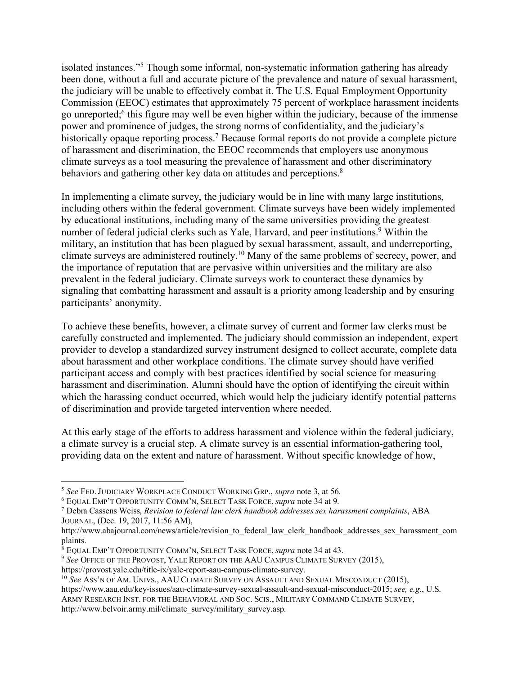isolated instances."5 Though some informal, non-systematic information gathering has already been done, without a full and accurate picture of the prevalence and nature of sexual harassment, the judiciary will be unable to effectively combat it. The U.S. Equal Employment Opportunity Commission (EEOC) estimates that approximately 75 percent of workplace harassment incidents go unreported;6 this figure may well be even higher within the judiciary, because of the immense power and prominence of judges, the strong norms of confidentiality, and the judiciary's historically opaque reporting process.<sup>7</sup> Because formal reports do not provide a complete picture of harassment and discrimination, the EEOC recommends that employers use anonymous climate surveys as a tool measuring the prevalence of harassment and other discriminatory behaviors and gathering other key data on attitudes and perceptions.<sup>8</sup>

In implementing a climate survey, the judiciary would be in line with many large institutions, including others within the federal government. Climate surveys have been widely implemented by educational institutions, including many of the same universities providing the greatest number of federal judicial clerks such as Yale, Harvard, and peer institutions.<sup>9</sup> Within the military, an institution that has been plagued by sexual harassment, assault, and underreporting, climate surveys are administered routinely.10 Many of the same problems of secrecy, power, and the importance of reputation that are pervasive within universities and the military are also prevalent in the federal judiciary. Climate surveys work to counteract these dynamics by signaling that combatting harassment and assault is a priority among leadership and by ensuring participants' anonymity.

To achieve these benefits, however, a climate survey of current and former law clerks must be carefully constructed and implemented. The judiciary should commission an independent, expert provider to develop a standardized survey instrument designed to collect accurate, complete data about harassment and other workplace conditions. The climate survey should have verified participant access and comply with best practices identified by social science for measuring harassment and discrimination. Alumni should have the option of identifying the circuit within which the harassing conduct occurred, which would help the judiciary identify potential patterns of discrimination and provide targeted intervention where needed.

At this early stage of the efforts to address harassment and violence within the federal judiciary, a climate survey is a crucial step. A climate survey is an essential information-gathering tool, providing data on the extent and nature of harassment. Without specific knowledge of how,

 $\overline{a}$ 

<sup>5</sup> *See* FED.JUDICIARY WORKPLACE CONDUCT WORKING GRP., *supra* note 3, at 56.

<sup>6</sup> EQUAL EMP'T OPPORTUNITY COMM'N, SELECT TASK FORCE, *supra* note 34 at 9.

<sup>7</sup> Debra Cassens Weiss, *Revision to federal law clerk handbook addresses sex harassment complaints*, ABA JOURNAL, (Dec. 19, 2017, 11:56 AM),

http://www.abajournal.com/news/article/revision\_to\_federal\_law\_clerk\_handbook\_addresses\_sex\_harassment\_com plaints.

<sup>8</sup> EQUAL EMP'T OPPORTUNITY COMM'N, SELECT TASK FORCE, *supra* note 34 at 43.

<sup>9</sup> *See* OFFICE OF THE PROVOST, YALE REPORT ON THE AAU CAMPUS CLIMATE SURVEY (2015),

https://provost.yale.edu/title-ix/yale-report-aau-campus-climate-survey.

<sup>10</sup> *See* ASS'N OF AM. UNIVS., AAU CLIMATE SURVEY ON ASSAULT AND SEXUAL MISCONDUCT (2015),

https://www.aau.edu/key-issues/aau-climate-survey-sexual-assault-and-sexual-misconduct-2015; *see, e.g.*, U.S. ARMY RESEARCH INST. FOR THE BEHAVIORAL AND SOC. SCIS., MILITARY COMMAND CLIMATE SURVEY, http://www.belvoir.army.mil/climate\_survey/military\_survey.asp.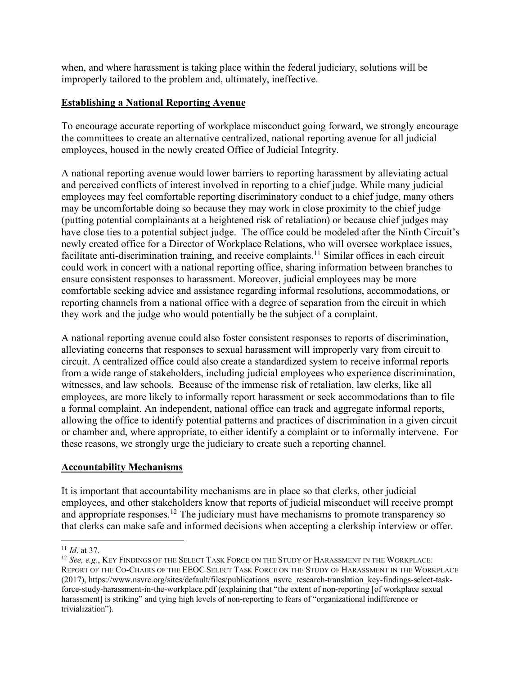when, and where harassment is taking place within the federal judiciary, solutions will be improperly tailored to the problem and, ultimately, ineffective.

## **Establishing a National Reporting Avenue**

To encourage accurate reporting of workplace misconduct going forward, we strongly encourage the committees to create an alternative centralized, national reporting avenue for all judicial employees, housed in the newly created Office of Judicial Integrity.

A national reporting avenue would lower barriers to reporting harassment by alleviating actual and perceived conflicts of interest involved in reporting to a chief judge. While many judicial employees may feel comfortable reporting discriminatory conduct to a chief judge, many others may be uncomfortable doing so because they may work in close proximity to the chief judge (putting potential complainants at a heightened risk of retaliation) or because chief judges may have close ties to a potential subject judge. The office could be modeled after the Ninth Circuit's newly created office for a Director of Workplace Relations, who will oversee workplace issues, facilitate anti-discrimination training, and receive complaints.<sup>11</sup> Similar offices in each circuit could work in concert with a national reporting office, sharing information between branches to ensure consistent responses to harassment. Moreover, judicial employees may be more comfortable seeking advice and assistance regarding informal resolutions, accommodations, or reporting channels from a national office with a degree of separation from the circuit in which they work and the judge who would potentially be the subject of a complaint.

A national reporting avenue could also foster consistent responses to reports of discrimination, alleviating concerns that responses to sexual harassment will improperly vary from circuit to circuit. A centralized office could also create a standardized system to receive informal reports from a wide range of stakeholders, including judicial employees who experience discrimination, witnesses, and law schools. Because of the immense risk of retaliation, law clerks, like all employees, are more likely to informally report harassment or seek accommodations than to file a formal complaint. An independent, national office can track and aggregate informal reports, allowing the office to identify potential patterns and practices of discrimination in a given circuit or chamber and, where appropriate, to either identify a complaint or to informally intervene. For these reasons, we strongly urge the judiciary to create such a reporting channel.

## **Accountability Mechanisms**

It is important that accountability mechanisms are in place so that clerks, other judicial employees, and other stakeholders know that reports of judicial misconduct will receive prompt and appropriate responses.<sup>12</sup> The judiciary must have mechanisms to promote transparency so that clerks can make safe and informed decisions when accepting a clerkship interview or offer.

 $\overline{a}$ <sup>11</sup> *Id*. at 37.

<sup>12</sup> *See, e.g.*, KEY FINDINGS OF THE SELECT TASK FORCE ON THE STUDY OF HARASSMENT IN THE WORKPLACE: REPORT OF THE CO-CHAIRS OF THE EEOC SELECT TASK FORCE ON THE STUDY OF HARASSMENT IN THE WORKPLACE (2017), https://www.nsvrc.org/sites/default/files/publications\_nsvrc\_research-translation\_key-findings-select-taskforce-study-harassment-in-the-workplace.pdf (explaining that "the extent of non-reporting [of workplace sexual harassment] is striking" and tying high levels of non-reporting to fears of "organizational indifference or trivialization").